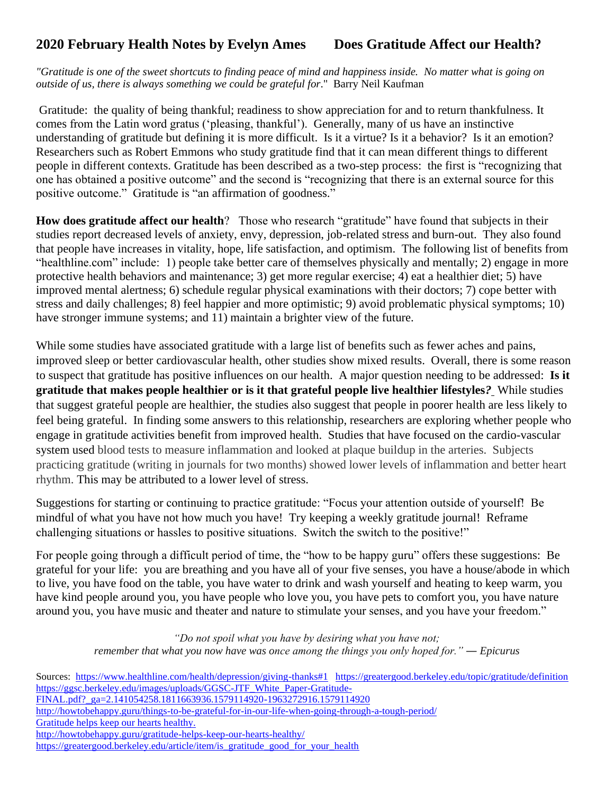## **2020 February Health Notes by Evelyn Ames Does Gratitude Affect our Health?**

*"Gratitude is one of the sweet shortcuts to finding peace of mind and happiness inside. No matter what is going on outside of us, there is always something we could be grateful for*." Barry Neil Kaufman

Gratitude: the quality of being thankful; readiness to show appreciation for and to return thankfulness. It comes from the Latin word gratus ('pleasing, thankful'). Generally, many of us have an instinctive understanding of gratitude but defining it is more difficult. Is it a virtue? Is it a behavior? Is it an emotion? Researchers such as Robert Emmons who study gratitude find that it can mean different things to different people in different contexts. Gratitude has been described as a two-step process: the first is "recognizing that one has obtained a positive outcome" and the second is "recognizing that there is an external source for this positive outcome." Gratitude is "an affirmation of goodness."

**How does gratitude affect our health**? Those who research "gratitude" have found that subjects in their studies report decreased levels of anxiety, envy, depression, job-related stress and burn-out. They also found that people have increases in vitality, hope, life satisfaction, and optimism. The following list of benefits from "healthline.com" include: 1) people take better care of themselves physically and mentally; 2) engage in more protective health behaviors and maintenance; 3) get more regular exercise; 4) eat a [healthier diet;](https://www.healthline.com/health/balanced-diet) 5) have improved mental alertness; 6) schedule regular physical examinations with their doctors; 7) cope better with stress and daily challenges; 8) feel happier and more optimistic; 9) avoid problematic physical symptoms; 10) have stronger [immune systems;](https://www.healthline.com/health/cold-flu/fun-facts) and 11) maintain a brighter view of the future.

While some studies have associated gratitude with a large list of benefits such as fewer aches and pains, improved sleep or better cardiovascular health, other studies show mixed results. Overall, there is some reason to suspect that gratitude has positive influences on our health. A major question needing to be addressed: **Is it gratitude that makes people healthier or is it that grateful people live healthier lifestyles***?* While studies that suggest grateful people are healthier, the studies also suggest that people in poorer health are less likely to feel being grateful. In finding some answers to this relationship, researchers are exploring whether people who engage in gratitude activities benefit from improved health. Studies that have focused on the cardio-vascular system used blood tests to measure inflammation and looked at plaque buildup in the arteries. Subjects practicing gratitude (writing in journals for two months) showed lower levels of inflammation and better heart rhythm. This may be attributed to a lower level of stress.

Suggestions for starting or continuing to practice gratitude: "Focus your attention outside of yourself! Be mindful of what you have not how much you have! Try keeping a weekly gratitude journal! Reframe challenging situations or hassles to positive situations. Switch the switch to the positive!"

For people going through a difficult period of time, the "how to be happy guru" offers these suggestions: Be grateful for your life: you are breathing and you have all of your five senses, you have a house/abode in which to live, you have food on the table, you have water to drink and wash yourself and heating to keep warm, you have kind people around you, you have people who love you, you have pets to comfort you, you have nature around you, you have music and theater and nature to stimulate your senses, and you have your freedom."

> *"Do not spoil what you have by desiring what you have not; remember that what you now have was once among the things you only hoped for."* ― *Epicurus*

Sources: <https://www.healthline.com/health/depression/giving-thanks#1><https://greatergood.berkeley.edu/topic/gratitude/definition> [https://ggsc.berkeley.edu/images/uploads/GGSC-JTF\\_White\\_Paper-Gratitude-](https://ggsc.berkeley.edu/images/uploads/GGSC-JTF_White_Paper-Gratitude-FINAL.pdf?_ga=2.141054258.1811663936.1579114920-1963272916.1579114920)[FINAL.pdf?\\_ga=2.141054258.1811663936.1579114920-1963272916.1579114920](https://ggsc.berkeley.edu/images/uploads/GGSC-JTF_White_Paper-Gratitude-FINAL.pdf?_ga=2.141054258.1811663936.1579114920-1963272916.1579114920) <http://howtobehappy.guru/things-to-be-grateful-for-in-our-life-when-going-through-a-tough-period/> [Gratitude helps keep our hearts healthy.](Gratitude%20helps%20keep%20our%20hearts%20healthy.)  <http://howtobehappy.guru/gratitude-helps-keep-our-hearts-healthy/> https://greatergood.berkeley.edu/article/item/is\_gratitude\_good\_for\_your\_health